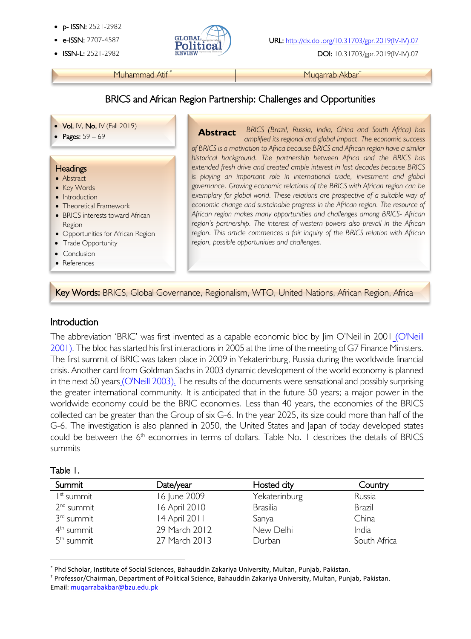- p- ISSN: 2521-2982
- 
- 



**ISSN-L:** 2521-2982 **REVIEW 2002** DOI: 10.31703/gpr.2019(IV-IV).07

Muhammad Atif<sup>\*</sup> Muhammad Atif **\*** Muqarrab Akbar<sup>†</sup>

# BRICS and African Region Partnership: Challenges and Opportunities

- Vol. IV, No. IV (Fall 2019)
- Pages:  $59 69$

#### **Headings**

į

- Abstract
- Key Words
- Introduction
- Theoretical Framework
- BRICS interests toward African Region
- Opportunities for African Region
- Trade Opportunity
- Conclusion
- References

l

*BRICS (Brazil, Russia, India, China and South Africa) has amplified its regional and global impact. The economic success of BRICS is a motivation to Africa because BRICS and African region have a similar historical background. The partnership between Africa and the BRICS has extended fresh drive and created ample interest in last decades because BRICS is playing an important role in international trade, investment and global governance. Growing economic relations of the BRICS with African region can be exemplary for global world. These relations are prospective of a suitable way of economic change and sustainable progress in the African region. The resource of African region makes many opportunities and challenges among BRICS- African region's partnership. The interest of western powers also prevail in the African region. This article commences a fair inquiry of the BRICS relation with African region, possible opportunities and challenges.*  **Abstract**

Key Words: BRICS, Global Governance, Regionalism, WTO, United Nations, African Region, Africa

## Introduction

The abbreviation 'BRIC' was first invented as a capable economic bloc by Jim O'Neil in 2001 (O'Neill 2001). The bloc has started his first interactions in 2005 at the time of the meeting of G7 Finance Ministers. The first summit of BRIC was taken place in 2009 in Yekaterinburg, Russia during the worldwide financial crisis. Another card from Goldman Sachs in 2003 dynamic development of the world economy is planned in the next 50 years (O'Neill 2003). The results of the documents were sensational and possibly surprising the greater international community. It is anticipated that in the future 50 years; a major power in the worldwide economy could be the BRIC economies. Less than 40 years, the economies of the BRICS collected can be greater than the Group of six G-6. In the year 2025, its size could more than half of the G-6. The investigation is also planned in 2050, the United States and Japan of today developed states could be between the  $6<sup>th</sup>$  economies in terms of dollars. Table No. 1 describes the details of BRICS summits

#### Table 1.

| Summit                 | Date/year     | Hosted city     | Country      |
|------------------------|---------------|-----------------|--------------|
| I <sup>st</sup> summit | 16 June 2009  | Yekaterinburg   | Russia       |
| 2 <sup>nd</sup> summit | 16 April 2010 | <b>Brasilia</b> | Brazil       |
| 3 <sup>rd</sup> summit | 14 April 2011 | Sanya           | China        |
| 4 <sup>th</sup> summit | 29 March 2012 | New Delhi       | India        |
| 5 <sup>th</sup> summit | 27 March 2013 | Durban          | South Africa |

\* Phd Scholar, Institute of Social Sciences, Bahauddin Zakariya University, Multan, Punjab, Pakistan.

† Professor/Chairman, Department of Political Science, Bahauddin Zakariya University, Multan, Punjab, Pakistan. Email: muqarrabakbar@bzu.edu.pk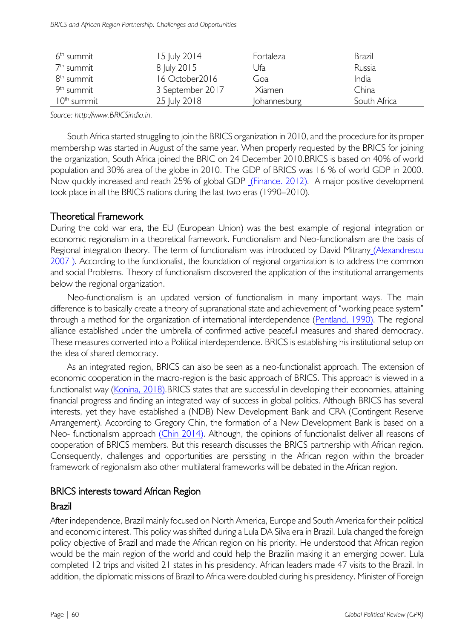| 6 <sup>th</sup> summit | 15 July 2014     | Fortaleza    | Brazil       |
|------------------------|------------------|--------------|--------------|
| 7 <sup>th</sup> summit | 8 July 2015      | Ufa          | Russia       |
| 8 <sup>th</sup> summit | 16 October 2016  | Goa          | India        |
| 9 <sup>th</sup> summit | 3 September 2017 | Xiamen       | China        |
| $10th$ summit          | 25 July 2018     | Johannesburg | South Africa |

*Source: http://www.BRICSindia.in.*

South Africa started struggling to join the BRICS organization in 2010, and the procedure for its proper membership was started in August of the same year. When properly requested by the BRICS for joining the organization, South Africa joined the BRIC on 24 December 2010.BRICS is based on 40% of world population and 30% area of the globe in 2010. The GDP of BRICS was 16 % of world GDP in 2000. Now quickly increased and reach 25% of global GDP (Finance. 2012). A major positive development took place in all the BRICS nations during the last two eras (1990–2010).

## Theoretical Framework

During the cold war era, the EU (European Union) was the best example of regional integration or economic regionalism in a theoretical framework. Functionalism and Neo-functionalism are the basis of Regional integration theory. The term of functionalism was introduced by David Mitrany (Alexandrescu 2007 ). According to the functionalist, the foundation of regional organization is to address the common and social Problems. Theory of functionalism discovered the application of the institutional arrangements below the regional organization.

Neo-functionalism is an updated version of functionalism in many important ways. The main difference is to basically create a theory of supranational state and achievement of "working peace system" through a method for the organization of international interdependence (Pentland, 1990). The regional alliance established under the umbrella of confirmed active peaceful measures and shared democracy. These measures converted into a Political interdependence. BRICS is establishing his institutional setup on the idea of shared democracy.

As an integrated region, BRICS can also be seen as a neo-functionalist approach. The extension of economic cooperation in the macro-region is the basic approach of BRICS. This approach is viewed in a functionalist way (Konina, 2018).BRICS states that are successful in developing their economies, attaining financial progress and finding an integrated way of success in global politics. Although BRICS has several interests, yet they have established a (NDB) New Development Bank and CRA (Contingent Reserve Arrangement). According to Gregory Chin, the formation of a New Development Bank is based on a Neo- functionalism approach (Chin 2014). Although, the opinions of functionalist deliver all reasons of cooperation of BRICS members. But this research discusses the BRICS partnership with African region. Consequently, challenges and opportunities are persisting in the African region within the broader framework of regionalism also other multilateral frameworks will be debated in the African region.

## BRICS interests toward African Region

## Brazil

After independence, Brazil mainly focused on North America, Europe and South America for their political and economic interest. This policy was shifted during a Lula DA Silva era in Brazil. Lula changed the foreign policy objective of Brazil and made the African region on his priority. He understood that African region would be the main region of the world and could help the Brazilin making it an emerging power. Lula completed 12 trips and visited 21 states in his presidency. African leaders made 47 visits to the Brazil. In addition, the diplomatic missions of Brazil to Africa were doubled during his presidency. Minister of Foreign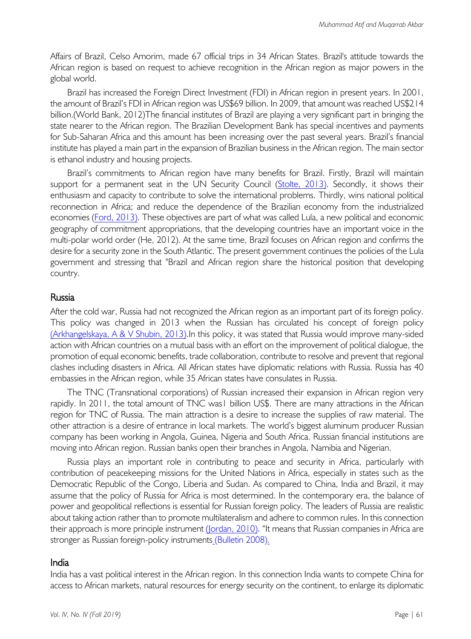Affairs of Brazil, Celso Amorim, made 67 official trips in 34 African States. Brazil's attitude towards the African region is based on request to achieve recognition in the African region as major powers in the global world.

Brazil has increased the Foreign Direct Investment (FDI) in African region in present years. In 2001, the amount of Brazil's FDI in African region was US\$69 billion. In 2009, that amount was reached US\$214 billion.(World Bank, 2012)The financial institutes of Brazil are playing a very significant part in bringing the state nearer to the African region. The Brazilian Development Bank has special incentives and payments for Sub-Saharan Africa and this amount has been increasing over the past several years. Brazil's financial institute has played a main part in the expansion of Brazilian business in the African region. The main sector is ethanol industry and housing projects.

Brazil's commitments to African region have many benefits for Brazil. Firstly, Brazil will maintain support for a permanent seat in the UN Security Council (Stolte, 2013). Secondly, it shows their enthusiasm and capacity to contribute to solve the international problems. Thirdly, wins national political reconnection in Africa; and reduce the dependence of the Brazilian economy from the industrialized economies (Ford, 2013). These objectives are part of what was called Lula, a new political and economic geography of commitment appropriations, that the developing countries have an important voice in the multi-polar world order (He, 2012). At the same time, Brazil focuses on African region and confirms the desire for a security zone in the South Atlantic. The present government continues the policies of the Lula government and stressing that "Brazil and African region share the historical position that developing country.

#### Russia

After the cold war, Russia had not recognized the African region as an important part of its foreign policy. This policy was changed in 2013 when the Russian has circulated his concept of foreign policy (Arkhangelskaya, A & V Shubin, 2013).In this policy, it was stated that Russia would improve many-sided action with African countries on a mutual basis with an effort on the improvement of political dialogue, the promotion of equal economic benefits, trade collaboration, contribute to resolve and prevent that regional clashes including disasters in Africa. All African states have diplomatic relations with Russia. Russia has 40 embassies in the African region, while 35 African states have consulates in Russia.

The TNC (Transnational corporations) of Russian increased their expansion in African region very rapidly. In 2011, the total amount of TNC was1 billion US\$. There are many attractions in the African region for TNC of Russia. The main attraction is a desire to increase the supplies of raw material. The other attraction is a desire of entrance in local markets. The world's biggest aluminum producer Russian company has been working in Angola, Guinea, Nigeria and South Africa. Russian financial institutions are moving into African region. Russian banks open their branches in Angola, Namibia and Nigerian.

Russia plays an important role in contributing to peace and security in Africa, particularly with contribution of peacekeeping missions for the United Nations in Africa, especially in states such as the Democratic Republic of the Congo, Liberia and Sudan. As compared to China, India and Brazil, it may assume that the policy of Russia for Africa is most determined. In the contemporary era, the balance of power and geopolitical reflections is essential for Russian foreign policy. The leaders of Russia are realistic about taking action rather than to promote multilateralism and adhere to common rules. In this connection their approach is more principle instrument (Jordan, 2010). "It means that Russian companies in Africa are stronger as Russian foreign-policy instruments (Bulletin 2008).

#### India

India has a vast political interest in the African region. In this connection India wants to compete China for access to African markets, natural resources for energy security on the continent, to enlarge its diplomatic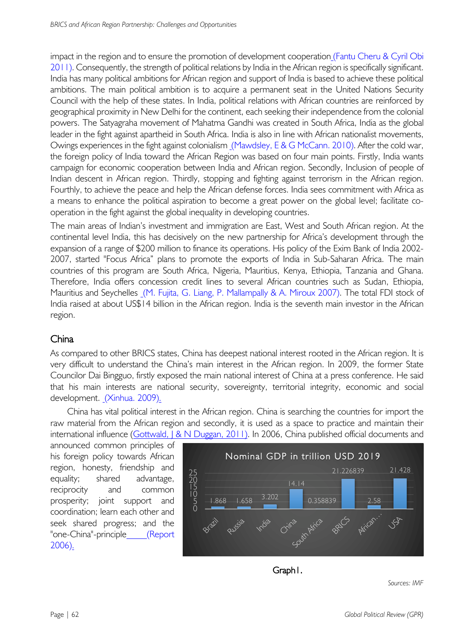impact in the region and to ensure the promotion of development cooperation (Fantu Cheru & Cyril Obi 2011). Consequently, the strength of political relations by India in the African region is specifically significant. India has many political ambitions for African region and support of India is based to achieve these political ambitions. The main political ambition is to acquire a permanent seat in the United Nations Security Council with the help of these states. In India, political relations with African countries are reinforced by geographical proximity in New Delhi for the continent, each seeking their independence from the colonial powers. The Satyagraha movement of Mahatma Gandhi was created in South Africa, India as the global leader in the fight against apartheid in South Africa. India is also in line with African nationalist movements, Owings experiences in the fight against colonialism (Mawdsley, E & G McCann. 2010). After the cold war, the foreign policy of India toward the African Region was based on four main points. Firstly, India wants campaign for economic cooperation between India and African region. Secondly, Inclusion of people of Indian descent in African region. Thirdly, stopping and fighting against terrorism in the African region. Fourthly, to achieve the peace and help the African defense forces. India sees commitment with Africa as a means to enhance the political aspiration to become a great power on the global level; facilitate cooperation in the fight against the global inequality in developing countries.

The main areas of Indian's investment and immigration are East, West and South African region. At the continental level India, this has decisively on the new partnership for Africa's development through the expansion of a range of \$200 million to finance its operations. His policy of the Exim Bank of India 2002- 2007, started "Focus Africa" plans to promote the exports of India in Sub-Saharan Africa. The main countries of this program are South Africa, Nigeria, Mauritius, Kenya, Ethiopia, Tanzania and Ghana. Therefore, India offers concession credit lines to several African countries such as Sudan, Ethiopia, Mauritius and Seychelles (M. Fujita, G. Liang, P. Mallampally & A. Miroux 2007). The total FDI stock of India raised at about US\$14 billion in the African region. India is the seventh main investor in the African region.

# China

As compared to other BRICS states, China has deepest national interest rooted in the African region. It is very difficult to understand the China's main interest in the African region. In 2009, the former State Councilor Dai Bingguo, firstly exposed the main national interest of China at a press conference. He said that his main interests are national security, sovereignty, territorial integrity, economic and social development. (Xinhua. 2009).

China has vital political interest in the African region. China is searching the countries for import the raw material from the African region and secondly, it is used as a space to practice and maintain their international influence (Gottwald, J & N Duggan, 2011). In 2006, China published official documents and

announced common principles of his foreign policy towards African region, honesty, friendship and equality; shared advantage, reciprocity and common prosperity; joint support and coordination; learn each other and seek shared progress; and the "one-China"-principle\_\_\_\_\_(Report  $2006)$ .





*Sources: IMF*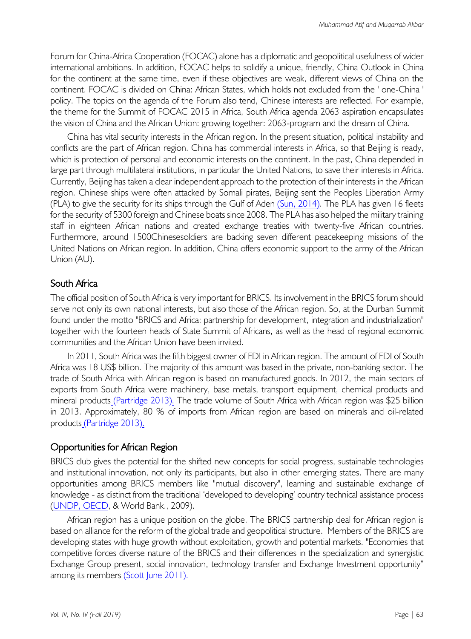Forum for China-Africa Cooperation (FOCAC) alone has a diplomatic and geopolitical usefulness of wider international ambitions. In addition, FOCAC helps to solidify a unique, friendly, China Outlook in China for the continent at the same time, even if these objectives are weak, different views of China on the continent. FOCAC is divided on China: African States, which holds not excluded from the ' one-China ' policy. The topics on the agenda of the Forum also tend, Chinese interests are reflected. For example, the theme for the Summit of FOCAC 2015 in Africa, South Africa agenda 2063 aspiration encapsulates the vision of China and the African Union: growing together: 2063-program and the dream of China.

China has vital security interests in the African region. In the present situation, political instability and conflicts are the part of African region. China has commercial interests in Africa, so that Beijing is ready, which is protection of personal and economic interests on the continent. In the past, China depended in large part through multilateral institutions, in particular the United Nations, to save their interests in Africa. Currently, Beijing has taken a clear independent approach to the protection of their interests in the African region. Chinese ships were often attacked by Somali pirates, Beijing sent the Peoples Liberation Army (PLA) to give the security for its ships through the Gulf of Aden (Sun, 2014). The PLA has given 16 fleets for the security of 5300 foreign and Chinese boats since 2008. The PLA has also helped the military training staff in eighteen African nations and created exchange treaties with twenty-five African countries. Furthermore, around 1500Chinesesoldiers are backing seven different peacekeeping missions of the United Nations on African region. In addition, China offers economic support to the army of the African Union (AU).

## South Africa

The official position of South Africa is very important for BRICS. Its involvement in the BRICS forum should serve not only its own national interests, but also those of the African region. So, at the Durban Summit found under the motto "BRICS and Africa: partnership for development, integration and industrialization" together with the fourteen heads of State Summit of Africans, as well as the head of regional economic communities and the African Union have been invited.

In 2011, South Africa was the fifth biggest owner of FDI in African region. The amount of FDI of South Africa was 18 US\$ billion. The majority of this amount was based in the private, non-banking sector. The trade of South Africa with African region is based on manufactured goods. In 2012, the main sectors of exports from South Africa were machinery, base metals, transport equipment, chemical products and mineral products (Partridge 2013). The trade volume of South Africa with African region was \$25 billion in 2013. Approximately, 80 % of imports from African region are based on minerals and oil-related products (Partridge 2013).

## Opportunities for African Region

BRICS club gives the potential for the shifted new concepts for social progress, sustainable technologies and institutional innovation, not only its participants, but also in other emerging states. There are many opportunities among BRICS members like "mutual discovery", learning and sustainable exchange of knowledge - as distinct from the traditional 'developed to developing' country technical assistance process (UNDP, OECD, & World Bank., 2009).

African region has a unique position on the globe. The BRICS partnership deal for African region is based on alliance for the reform of the global trade and geopolitical structure. Members of the BRICS are developing states with huge growth without exploitation, growth and potential markets. "Economies that competitive forces diverse nature of the BRICS and their differences in the specialization and synergistic Exchange Group present, social innovation, technology transfer and Exchange Investment opportunity" among its members (Scott June 2011).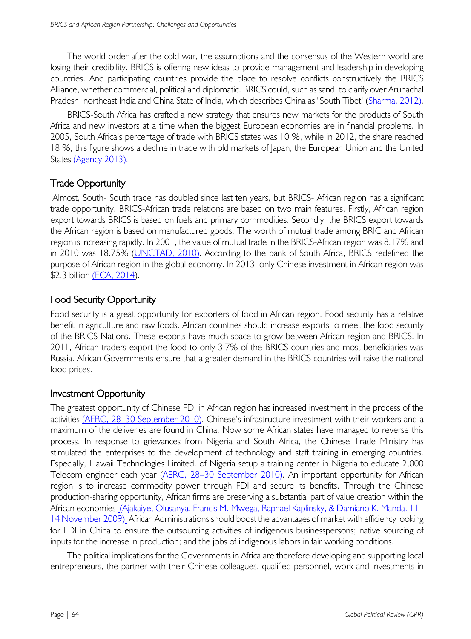The world order after the cold war, the assumptions and the consensus of the Western world are losing their credibility. BRICS is offering new ideas to provide management and leadership in developing countries. And participating countries provide the place to resolve conflicts constructively the BRICS Alliance, whether commercial, political and diplomatic. BRICS could, such as sand, to clarify over Arunachal Pradesh, northeast India and China State of India, which describes China as "South Tibet" (Sharma, 2012).

BRICS-South Africa has crafted a new strategy that ensures new markets for the products of South Africa and new investors at a time when the biggest European economies are in financial problems. In 2005, South Africa's percentage of trade with BRICS states was 10 %, while in 2012, the share reached 18 %, this figure shows a decline in trade with old markets of Japan, the European Union and the United States\_(Agency 2013).

## Trade Opportunity

Almost, South- South trade has doubled since last ten years, but BRICS- African region has a significant trade opportunity. BRICS-African trade relations are based on two main features. Firstly, African region export towards BRICS is based on fuels and primary commodities. Secondly, the BRICS export towards the African region is based on manufactured goods. The worth of mutual trade among BRIC and African region is increasing rapidly. In 2001, the value of mutual trade in the BRICS-African region was 8.17% and in 2010 was 18.75% (UNCTAD, 2010). According to the bank of South Africa, BRICS redefined the purpose of African region in the global economy. In 2013, only Chinese investment in African region was \$2.3 billion (ECA, 2014).

## Food Security Opportunity

Food security is a great opportunity for exporters of food in African region. Food security has a relative benefit in agriculture and raw foods. African countries should increase exports to meet the food security of the BRICS Nations. These exports have much space to grow between African region and BRICS. In 2011, African traders export the food to only 3.7% of the BRICS countries and most beneficiaries was Russia. African Governments ensure that a greater demand in the BRICS countries will raise the national food prices.

## Investment Opportunity

The greatest opportunity of Chinese FDI in African region has increased investment in the process of the activities (AERC, 28-30 September 2010). Chinese's infrastructure investment with their workers and a maximum of the deliveries are found in China. Now some African states have managed to reverse this process. In response to grievances from Nigeria and South Africa, the Chinese Trade Ministry has stimulated the enterprises to the development of technology and staff training in emerging countries. Especially, Hawaii Technologies Limited. of Nigeria setup a training center in Nigeria to educate 2,000 Telecom engineer each year (AERC, 28-30 September 2010). An important opportunity for African region is to increase commodity power through FDI and secure its benefits. Through the Chinese production-sharing opportunity, African firms are preserving a substantial part of value creation within the African economies (Ajakaiye, Olusanya, Francis M. Mwega, Raphael Kaplinsky, & Damiano K. Manda. 11– 14 November 2009). African Administrations should boost the advantages of market with efficiency looking for FDI in China to ensure the outsourcing activities of indigenous businesspersons; native sourcing of inputs for the increase in production; and the jobs of indigenous labors in fair working conditions.

The political implications for the Governments in Africa are therefore developing and supporting local entrepreneurs, the partner with their Chinese colleagues, qualified personnel, work and investments in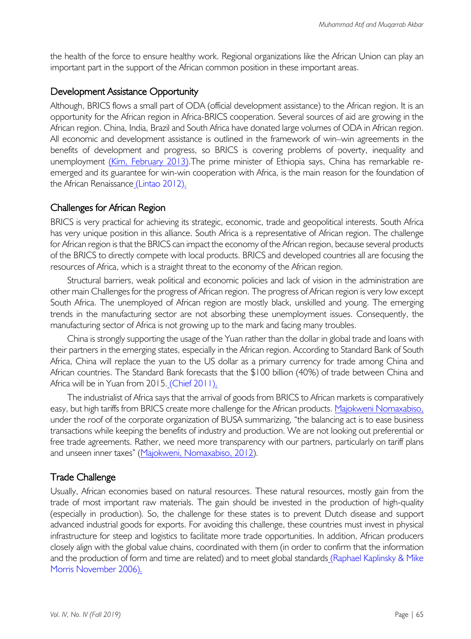the health of the force to ensure healthy work. Regional organizations like the African Union can play an important part in the support of the African common position in these important areas.

#### Development Assistance Opportunity

Although, BRICS flows a small part of ODA (official development assistance) to the African region. It is an opportunity for the African region in Africa-BRICS cooperation. Several sources of aid are growing in the African region. China, India, Brazil and South Africa have donated large volumes of ODA in African region. All economic and development assistance is outlined in the framework of win–win agreements in the benefits of development and progress, so BRICS is covering problems of poverty, inequality and unemployment (Kim, February 2013). The prime minister of Ethiopia says, China has remarkable reemerged and its guarantee for win-win cooperation with Africa, is the main reason for the foundation of the African Renaissance (Lintao 2012).

## Challenges for African Region

BRICS is very practical for achieving its strategic, economic, trade and geopolitical interests. South Africa has very unique position in this alliance. South Africa is a representative of African region. The challenge for African region is that the BRICS can impact the economy of the African region, because several products of the BRICS to directly compete with local products. BRICS and developed countries all are focusing the resources of Africa, which is a straight threat to the economy of the African region.

Structural barriers, weak political and economic policies and lack of vision in the administration are other main Challenges for the progress of African region. The progress of African region is very low except South Africa. The unemployed of African region are mostly black, unskilled and young. The emerging trends in the manufacturing sector are not absorbing these unemployment issues. Consequently, the manufacturing sector of Africa is not growing up to the mark and facing many troubles.

China is strongly supporting the usage of the Yuan rather than the dollar in global trade and loans with their partners in the emerging states, especially in the African region. According to Standard Bank of South Africa, China will replace the yuan to the US dollar as a primary currency for trade among China and African countries. The Standard Bank forecasts that the \$100 billion (40%) of trade between China and Africa will be in Yuan from 2015. (Chief 2011).

The industrialist of Africa says that the arrival of goods from BRICS to African markets is comparatively easy, but high tariffs from BRICS create more challenge for the African products. Majokweni Nomaxabiso, under the roof of the corporate organization of BUSA summarizing, "the balancing act is to ease business transactions while keeping the benefits of industry and production. We are not looking out preferential or free trade agreements. Rather, we need more transparency with our partners, particularly on tariff plans and unseen inner taxes" (Majokweni, Nomaxabiso, 2012).

## Trade Challenge

Usually, African economies based on natural resources. These natural resources, mostly gain from the trade of most important raw materials. The gain should be invested in the production of high-quality (especially in production). So, the challenge for these states is to prevent Dutch disease and support advanced industrial goods for exports. For avoiding this challenge, these countries must invest in physical infrastructure for steep and logistics to facilitate more trade opportunities. In addition, African producers closely align with the global value chains, coordinated with them (in order to confirm that the information and the production of form and time are related) and to meet global standards (Raphael Kaplinsky & Mike Morris November 2006).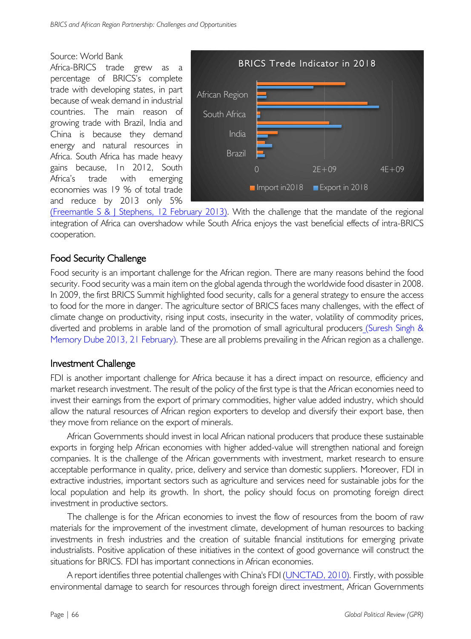#### Source: World Bank

Africa-BRICS trade grew as percentage of BRICS's complete trade with developing states, in part because of weak demand in industrial countries. The main reason of growing trade with Brazil, India and China is because they demand energy and natural resources in Africa. South Africa has made heavy gains because, 1n 2012, South Africa's trade with emerging economies was 19 % of total trade and reduce by 2013 only 5%



(Freemantle S & J Stephens, 12 February 2013). With the challenge that the mandate of the regional integration of Africa can overshadow while South Africa enjoys the vast beneficial effects of intra-BRICS cooperation.

# Food Security Challenge

Food security is an important challenge for the African region. There are many reasons behind the food security. Food security was a main item on the global agenda through the worldwide food disaster in 2008. In 2009, the first BRICS Summit highlighted food security, calls for a general strategy to ensure the access to food for the more in danger. The agriculture sector of BRICS faces many challenges, with the effect of climate change on productivity, rising input costs, insecurity in the water, volatility of commodity prices, diverted and problems in arable land of the promotion of small agricultural producers (Suresh Singh & Memory Dube 2013, 21 February). These are all problems prevailing in the African region as a challenge.

## Investment Challenge

FDI is another important challenge for Africa because it has a direct impact on resource, efficiency and market research investment. The result of the policy of the first type is that the African economies need to invest their earnings from the export of primary commodities, higher value added industry, which should allow the natural resources of African region exporters to develop and diversify their export base, then they move from reliance on the export of minerals.

African Governments should invest in local African national producers that produce these sustainable exports in forging help African economies with higher added-value will strengthen national and foreign companies. It is the challenge of the African governments with investment, market research to ensure acceptable performance in quality, price, delivery and service than domestic suppliers. Moreover, FDI in extractive industries, important sectors such as agriculture and services need for sustainable jobs for the local population and help its growth. In short, the policy should focus on promoting foreign direct investment in productive sectors.

The challenge is for the African economies to invest the flow of resources from the boom of raw materials for the improvement of the investment climate, development of human resources to backing investments in fresh industries and the creation of suitable financial institutions for emerging private industrialists. Positive application of these initiatives in the context of good governance will construct the situations for BRICS. FDI has important connections in African economies.

A report identifies three potential challenges with China's FDI (UNCTAD, 2010). Firstly, with possible environmental damage to search for resources through foreign direct investment, African Governments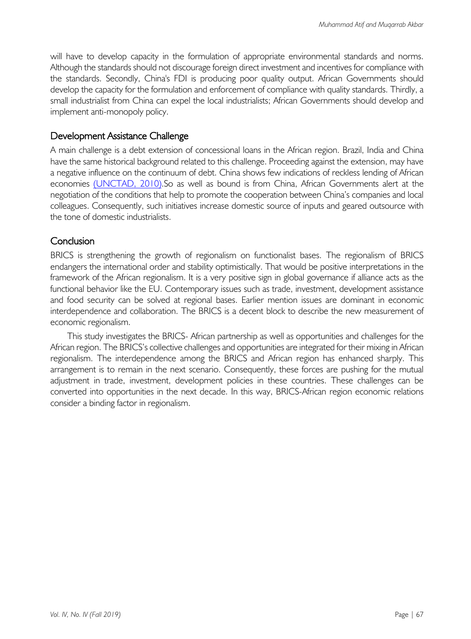will have to develop capacity in the formulation of appropriate environmental standards and norms. Although the standards should not discourage foreign direct investment and incentives for compliance with the standards. Secondly, China's FDI is producing poor quality output. African Governments should develop the capacity for the formulation and enforcement of compliance with quality standards. Thirdly, a small industrialist from China can expel the local industrialists; African Governments should develop and implement anti-monopoly policy.

## Development Assistance Challenge

A main challenge is a debt extension of concessional loans in the African region. Brazil, India and China have the same historical background related to this challenge. Proceeding against the extension, may have a negative influence on the continuum of debt. China shows few indications of reckless lending of African economies (UNCTAD, 2010).So as well as bound is from China, African Governments alert at the negotiation of the conditions that help to promote the cooperation between China's companies and local colleagues. Consequently, such initiatives increase domestic source of inputs and geared outsource with the tone of domestic industrialists.

## **Conclusion**

BRICS is strengthening the growth of regionalism on functionalist bases. The regionalism of BRICS endangers the international order and stability optimistically. That would be positive interpretations in the framework of the African regionalism. It is a very positive sign in global governance if alliance acts as the functional behavior like the EU. Contemporary issues such as trade, investment, development assistance and food security can be solved at regional bases. Earlier mention issues are dominant in economic interdependence and collaboration. The BRICS is a decent block to describe the new measurement of economic regionalism.

This study investigates the BRICS- African partnership as well as opportunities and challenges for the African region. The BRICS's collective challenges and opportunities are integrated for their mixing in African regionalism. The interdependence among the BRICS and African region has enhanced sharply. This arrangement is to remain in the next scenario. Consequently, these forces are pushing for the mutual adjustment in trade, investment, development policies in these countries. These challenges can be converted into opportunities in the next decade. In this way, BRICS-African region economic relations consider a binding factor in regionalism.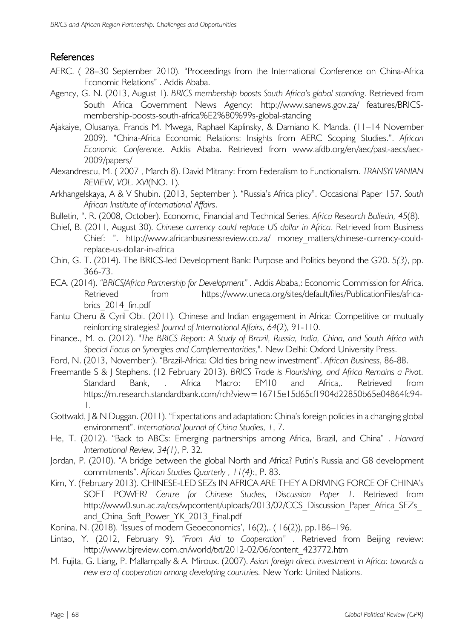## References

- AERC. ( 28–30 September 2010). "Proceedings from the International Conference on China-Africa Economic Relations" . Addis Ababa.
- Agency, G. N. (2013, August 1). *BRICS membership boosts South Africa's global standing*. Retrieved from South Africa Government News Agency: http://www.sanews.gov.za/ features/BRICSmembership-boosts-south-africa%E2%80%99s-global-standing
- Ajakaiye, Olusanya, Francis M. Mwega, Raphael Kaplinsky, & Damiano K. Manda. (11–14 November 2009). "China-Africa Economic Relations: Insights from AERC Scoping Studies.". *African Economic Conference.* Addis Ababa. Retrieved from www.afdb.org/en/aec/past-aecs/aec-2009/papers/
- Alexandrescu, M. ( 2007 , March 8). David Mitrany: From Federalism to Functionalism. *TRANSYLVANIAN REVIEW, VOL. XVI*(NO. 1).
- Arkhangelskaya, A & V Shubin. (2013, September ). "Russia's Africa plicy". Occasional Paper 157. *South African Institute of International Affairs*.
- Bulletin, ". R. (2008, October). Economic, Financial and Technical Series. *Africa Research Bulletin, 45*(8).
- Chief, B. (2011, August 30). *Chinese currency could replace US dollar in Africa*. Retrieved from Business Chief: ". http://www.africanbusinessreview.co.za/ money matters/chinese-currency-couldreplace-us-dollar-in-africa
- Chin, G. T. (2014). The BRICS-led Development Bank: Purpose and Politics beyond the G20. *5(3)*, pp. 366-73.
- ECA. (2014). *"BRICS/Africa Partnership for Development" .* Addis Ababa,: Economic Commission for Africa. Retrieved from https://www.uneca.org/sites/default/files/PublicationFiles/africabrics 2014 fin.pdf
- Fantu Cheru & Cyril Obi. (2011). Chinese and Indian engagement in Africa: Competitive or mutually reinforcing strategies? *Journal of International Affairs, 64*(2), 91-110.
- Finance., M. o. (2012). *"The BRICS Report: A Study of Brazil, Russia, India, China, and South Africa with Special Focus on Synergies and Complementarities,".* New Delhi: Oxford University Press.
- Ford, N. (2013, November:). "Brazil-Africa: Old ties bring new investment". *African Business*, 86-88.
- Freemantle S & J Stephens. (12 February 2013). *BRICS Trade is Flourishing, and Africa Remains a Pivot.* Standard Bank, . Africa Macro: EM10 and Africa,. Retrieved from https://m.research.standardbank.com/rch?view=16715e15d65cf1904d22850b65e04864fc94- 1.
- Gottwald, J & N Duggan. (2011). "Expectations and adaptation: China's foreign policies in a changing global environment". *International Journal of China Studies, 1*, 7.
- He, T. (2012). "Back to ABCs: Emerging partnerships among Africa, Brazil, and China" . *Harvard International Review, 34(1)*, P. 32.
- Jordan, P. (2010). "A bridge between the global North and Africa? Putin's Russia and G8 development commitments". *African Studies Quarterly , 11(4):*, P. 83.
- Kim, Y. (February 2013). CHINESE-LED SEZs IN AFRICA ARE THEY A DRIVING FORCE OF CHINA's SOFT POWER? *Centre for Chinese Studies, Discussion Paper 1.* Retrieved from http://www0.sun.ac.za/ccs/wpcontent/uploads/2013/02/CCS\_Discussion\_Paper\_Africa\_SEZs and China Soft Power YK 2013 Final.pdf
- Konina, N. (2018). 'Issues of modern Geoeconomics', 16(2),. ( 16(2)), pp.186–196.
- Lintao, Y. (2012, February 9). *"From Aid to Cooperation"* . Retrieved from Beijing review: http://www.bjreview.com.cn/world/txt/2012-02/06/content\_423772.htm
- M. Fujita, G. Liang, P. Mallampally & A. Miroux. (2007). *Asian foreign direct investment in Africa: towards a new era of cooperation among developing countries.* New York: United Nations.